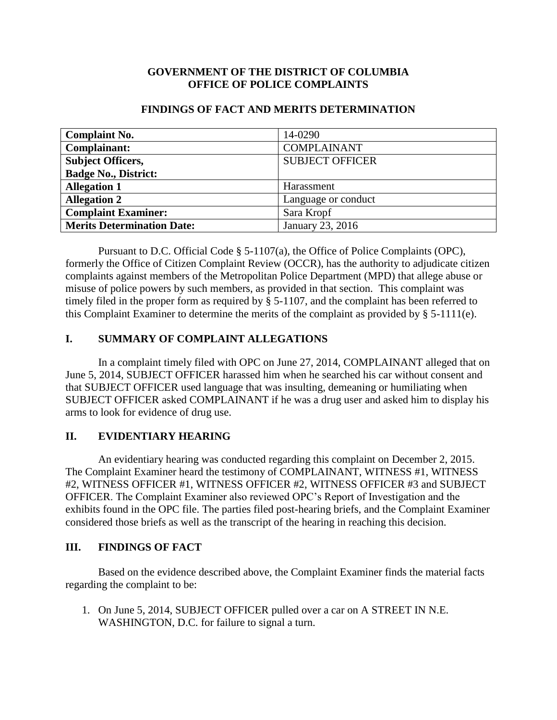## **GOVERNMENT OF THE DISTRICT OF COLUMBIA OFFICE OF POLICE COMPLAINTS**

| <b>Complaint No.</b>              | 14-0290                |
|-----------------------------------|------------------------|
| Complainant:                      | <b>COMPLAINANT</b>     |
| <b>Subject Officers,</b>          | <b>SUBJECT OFFICER</b> |
| <b>Badge No., District:</b>       |                        |
| <b>Allegation 1</b>               | Harassment             |
| <b>Allegation 2</b>               | Language or conduct    |
| <b>Complaint Examiner:</b>        | Sara Kropf             |
| <b>Merits Determination Date:</b> | January 23, 2016       |

#### **FINDINGS OF FACT AND MERITS DETERMINATION**

Pursuant to D.C. Official Code § 5-1107(a), the Office of Police Complaints (OPC), formerly the Office of Citizen Complaint Review (OCCR), has the authority to adjudicate citizen complaints against members of the Metropolitan Police Department (MPD) that allege abuse or misuse of police powers by such members, as provided in that section. This complaint was timely filed in the proper form as required by § 5-1107, and the complaint has been referred to this Complaint Examiner to determine the merits of the complaint as provided by § 5-1111(e).

# **I. SUMMARY OF COMPLAINT ALLEGATIONS**

In a complaint timely filed with OPC on June 27, 2014, COMPLAINANT alleged that on June 5, 2014, SUBJECT OFFICER harassed him when he searched his car without consent and that SUBJECT OFFICER used language that was insulting, demeaning or humiliating when SUBJECT OFFICER asked COMPLAINANT if he was a drug user and asked him to display his arms to look for evidence of drug use.

# **II. EVIDENTIARY HEARING**

An evidentiary hearing was conducted regarding this complaint on December 2, 2015. The Complaint Examiner heard the testimony of COMPLAINANT, WITNESS #1, WITNESS #2, WITNESS OFFICER #1, WITNESS OFFICER #2, WITNESS OFFICER #3 and SUBJECT OFFICER. The Complaint Examiner also reviewed OPC's Report of Investigation and the exhibits found in the OPC file. The parties filed post-hearing briefs, and the Complaint Examiner considered those briefs as well as the transcript of the hearing in reaching this decision.

# **III. FINDINGS OF FACT**

Based on the evidence described above, the Complaint Examiner finds the material facts regarding the complaint to be:

1. On June 5, 2014, SUBJECT OFFICER pulled over a car on A STREET IN N.E. WASHINGTON, D.C. for failure to signal a turn.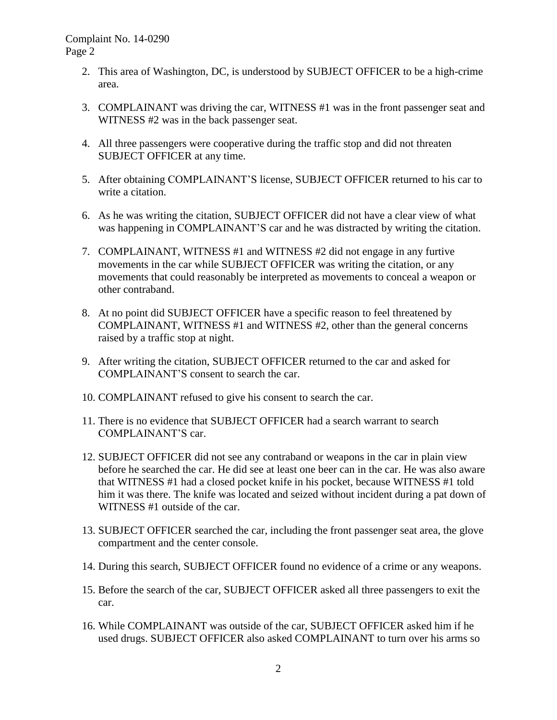- 2. This area of Washington, DC, is understood by SUBJECT OFFICER to be a high-crime area.
- 3. COMPLAINANT was driving the car, WITNESS #1 was in the front passenger seat and WITNESS #2 was in the back passenger seat.
- 4. All three passengers were cooperative during the traffic stop and did not threaten SUBJECT OFFICER at any time.
- 5. After obtaining COMPLAINANT'S license, SUBJECT OFFICER returned to his car to write a citation.
- 6. As he was writing the citation, SUBJECT OFFICER did not have a clear view of what was happening in COMPLAINANT'S car and he was distracted by writing the citation.
- 7. COMPLAINANT, WITNESS #1 and WITNESS #2 did not engage in any furtive movements in the car while SUBJECT OFFICER was writing the citation, or any movements that could reasonably be interpreted as movements to conceal a weapon or other contraband.
- 8. At no point did SUBJECT OFFICER have a specific reason to feel threatened by COMPLAINANT, WITNESS #1 and WITNESS #2, other than the general concerns raised by a traffic stop at night.
- 9. After writing the citation, SUBJECT OFFICER returned to the car and asked for COMPLAINANT'S consent to search the car.
- 10. COMPLAINANT refused to give his consent to search the car.
- 11. There is no evidence that SUBJECT OFFICER had a search warrant to search COMPLAINANT'S car.
- 12. SUBJECT OFFICER did not see any contraband or weapons in the car in plain view before he searched the car. He did see at least one beer can in the car. He was also aware that WITNESS #1 had a closed pocket knife in his pocket, because WITNESS #1 told him it was there. The knife was located and seized without incident during a pat down of WITNESS #1 outside of the car.
- 13. SUBJECT OFFICER searched the car, including the front passenger seat area, the glove compartment and the center console.
- 14. During this search, SUBJECT OFFICER found no evidence of a crime or any weapons.
- 15. Before the search of the car, SUBJECT OFFICER asked all three passengers to exit the car.
- 16. While COMPLAINANT was outside of the car, SUBJECT OFFICER asked him if he used drugs. SUBJECT OFFICER also asked COMPLAINANT to turn over his arms so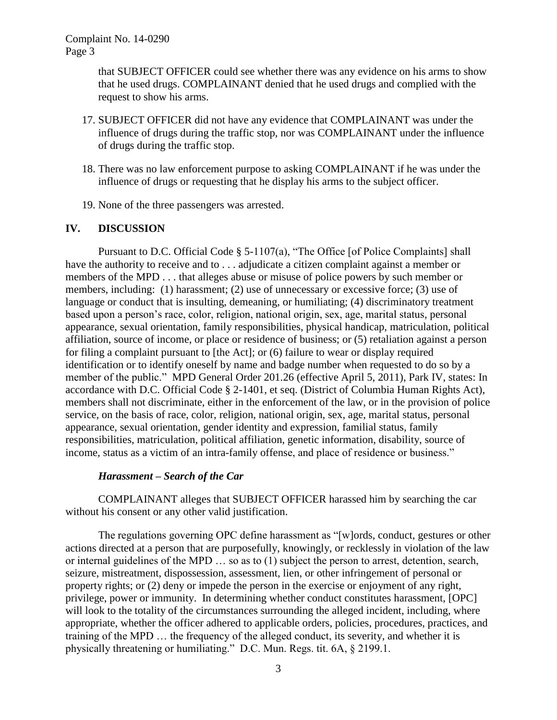that SUBJECT OFFICER could see whether there was any evidence on his arms to show that he used drugs. COMPLAINANT denied that he used drugs and complied with the request to show his arms.

- 17. SUBJECT OFFICER did not have any evidence that COMPLAINANT was under the influence of drugs during the traffic stop, nor was COMPLAINANT under the influence of drugs during the traffic stop.
- 18. There was no law enforcement purpose to asking COMPLAINANT if he was under the influence of drugs or requesting that he display his arms to the subject officer.
- 19. None of the three passengers was arrested.

## **IV. DISCUSSION**

Pursuant to D.C. Official Code § 5-1107(a), "The Office [of Police Complaints] shall have the authority to receive and to ... adjudicate a citizen complaint against a member or members of the MPD . . . that alleges abuse or misuse of police powers by such member or members, including: (1) harassment; (2) use of unnecessary or excessive force; (3) use of language or conduct that is insulting, demeaning, or humiliating; (4) discriminatory treatment based upon a person's race, color, religion, national origin, sex, age, marital status, personal appearance, sexual orientation, family responsibilities, physical handicap, matriculation, political affiliation, source of income, or place or residence of business; or (5) retaliation against a person for filing a complaint pursuant to [the Act]; or (6) failure to wear or display required identification or to identify oneself by name and badge number when requested to do so by a member of the public." MPD General Order 201.26 (effective April 5, 2011), Park IV, states: In accordance with D.C. Official Code § 2-1401, et seq. (District of Columbia Human Rights Act), members shall not discriminate, either in the enforcement of the law, or in the provision of police service, on the basis of race, color, religion, national origin, sex, age, marital status, personal appearance, sexual orientation, gender identity and expression, familial status, family responsibilities, matriculation, political affiliation, genetic information, disability, source of income, status as a victim of an intra-family offense, and place of residence or business."

#### *Harassment – Search of the Car*

COMPLAINANT alleges that SUBJECT OFFICER harassed him by searching the car without his consent or any other valid justification.

The regulations governing OPC define harassment as "[w]ords, conduct, gestures or other actions directed at a person that are purposefully, knowingly, or recklessly in violation of the law or internal guidelines of the MPD … so as to (1) subject the person to arrest, detention, search, seizure, mistreatment, dispossession, assessment, lien, or other infringement of personal or property rights; or (2) deny or impede the person in the exercise or enjoyment of any right, privilege, power or immunity. In determining whether conduct constitutes harassment, [OPC] will look to the totality of the circumstances surrounding the alleged incident, including, where appropriate, whether the officer adhered to applicable orders, policies, procedures, practices, and training of the MPD … the frequency of the alleged conduct, its severity, and whether it is physically threatening or humiliating." D.C. Mun. Regs. tit. 6A, § 2199.1.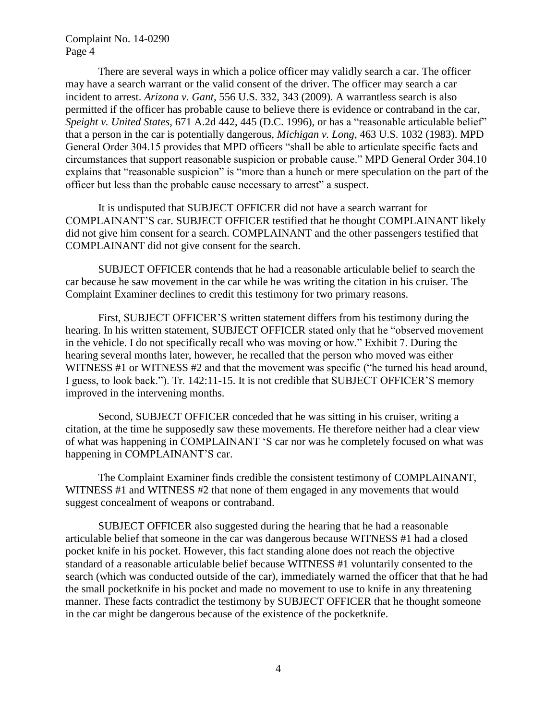There are several ways in which a police officer may validly search a car. The officer may have a search warrant or the valid consent of the driver. The officer may search a car incident to arrest. *Arizona v. Gant*, 556 U.S. 332, 343 (2009). A warrantless search is also permitted if the officer has probable cause to believe there is evidence or contraband in the car, *Speight v. United States*, 671 A.2d 442, 445 (D.C. 1996), or has a "reasonable articulable belief" that a person in the car is potentially dangerous, *Michigan v. Long*, 463 U.S. 1032 (1983). MPD General Order 304.15 provides that MPD officers "shall be able to articulate specific facts and circumstances that support reasonable suspicion or probable cause." MPD General Order 304.10 explains that "reasonable suspicion" is "more than a hunch or mere speculation on the part of the officer but less than the probable cause necessary to arrest" a suspect.

It is undisputed that SUBJECT OFFICER did not have a search warrant for COMPLAINANT'S car. SUBJECT OFFICER testified that he thought COMPLAINANT likely did not give him consent for a search. COMPLAINANT and the other passengers testified that COMPLAINANT did not give consent for the search.

SUBJECT OFFICER contends that he had a reasonable articulable belief to search the car because he saw movement in the car while he was writing the citation in his cruiser. The Complaint Examiner declines to credit this testimony for two primary reasons.

First, SUBJECT OFFICER'S written statement differs from his testimony during the hearing. In his written statement, SUBJECT OFFICER stated only that he "observed movement in the vehicle. I do not specifically recall who was moving or how." Exhibit 7. During the hearing several months later, however, he recalled that the person who moved was either WITNESS #1 or WITNESS #2 and that the movement was specific ("he turned his head around, I guess, to look back."). Tr. 142:11-15. It is not credible that SUBJECT OFFICER'S memory improved in the intervening months.

Second, SUBJECT OFFICER conceded that he was sitting in his cruiser, writing a citation, at the time he supposedly saw these movements. He therefore neither had a clear view of what was happening in COMPLAINANT 'S car nor was he completely focused on what was happening in COMPLAINANT'S car.

The Complaint Examiner finds credible the consistent testimony of COMPLAINANT, WITNESS #1 and WITNESS #2 that none of them engaged in any movements that would suggest concealment of weapons or contraband.

SUBJECT OFFICER also suggested during the hearing that he had a reasonable articulable belief that someone in the car was dangerous because WITNESS #1 had a closed pocket knife in his pocket. However, this fact standing alone does not reach the objective standard of a reasonable articulable belief because WITNESS #1 voluntarily consented to the search (which was conducted outside of the car), immediately warned the officer that that he had the small pocketknife in his pocket and made no movement to use to knife in any threatening manner. These facts contradict the testimony by SUBJECT OFFICER that he thought someone in the car might be dangerous because of the existence of the pocketknife.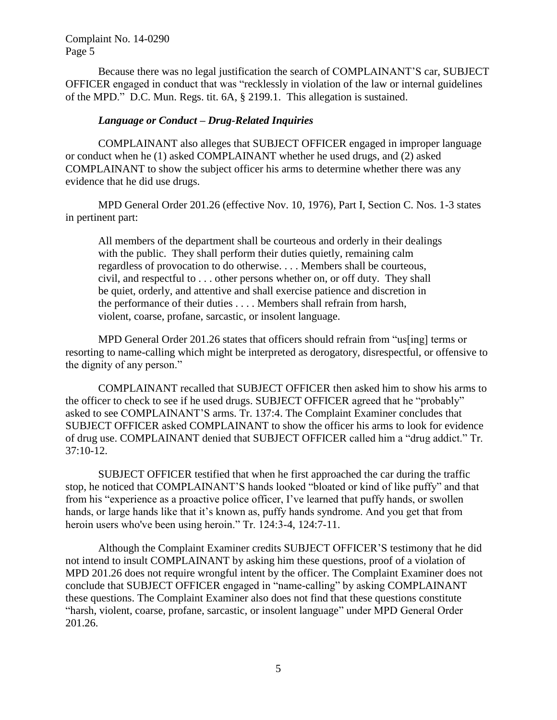Because there was no legal justification the search of COMPLAINANT'S car, SUBJECT OFFICER engaged in conduct that was "recklessly in violation of the law or internal guidelines of the MPD." D.C. Mun. Regs. tit. 6A, § 2199.1. This allegation is sustained.

### *Language or Conduct – Drug-Related Inquiries*

COMPLAINANT also alleges that SUBJECT OFFICER engaged in improper language or conduct when he (1) asked COMPLAINANT whether he used drugs, and (2) asked COMPLAINANT to show the subject officer his arms to determine whether there was any evidence that he did use drugs.

MPD General Order 201.26 (effective Nov. 10, 1976), Part I, Section C. Nos. 1-3 states in pertinent part:

All members of the department shall be courteous and orderly in their dealings with the public. They shall perform their duties quietly, remaining calm regardless of provocation to do otherwise. . . . Members shall be courteous, civil, and respectful to . . . other persons whether on, or off duty. They shall be quiet, orderly, and attentive and shall exercise patience and discretion in the performance of their duties . . . . Members shall refrain from harsh, violent, coarse, profane, sarcastic, or insolent language.

MPD General Order 201.26 states that officers should refrain from "us[ing] terms or resorting to name-calling which might be interpreted as derogatory, disrespectful, or offensive to the dignity of any person."

COMPLAINANT recalled that SUBJECT OFFICER then asked him to show his arms to the officer to check to see if he used drugs. SUBJECT OFFICER agreed that he "probably" asked to see COMPLAINANT'S arms. Tr. 137:4. The Complaint Examiner concludes that SUBJECT OFFICER asked COMPLAINANT to show the officer his arms to look for evidence of drug use. COMPLAINANT denied that SUBJECT OFFICER called him a "drug addict." Tr. 37:10-12.

SUBJECT OFFICER testified that when he first approached the car during the traffic stop, he noticed that COMPLAINANT'S hands looked "bloated or kind of like puffy" and that from his "experience as a proactive police officer, I've learned that puffy hands, or swollen hands, or large hands like that it's known as, puffy hands syndrome. And you get that from heroin users who've been using heroin." Tr. 124:3-4, 124:7-11.

Although the Complaint Examiner credits SUBJECT OFFICER'S testimony that he did not intend to insult COMPLAINANT by asking him these questions, proof of a violation of MPD 201.26 does not require wrongful intent by the officer. The Complaint Examiner does not conclude that SUBJECT OFFICER engaged in "name-calling" by asking COMPLAINANT these questions. The Complaint Examiner also does not find that these questions constitute "harsh, violent, coarse, profane, sarcastic, or insolent language" under MPD General Order 201.26.